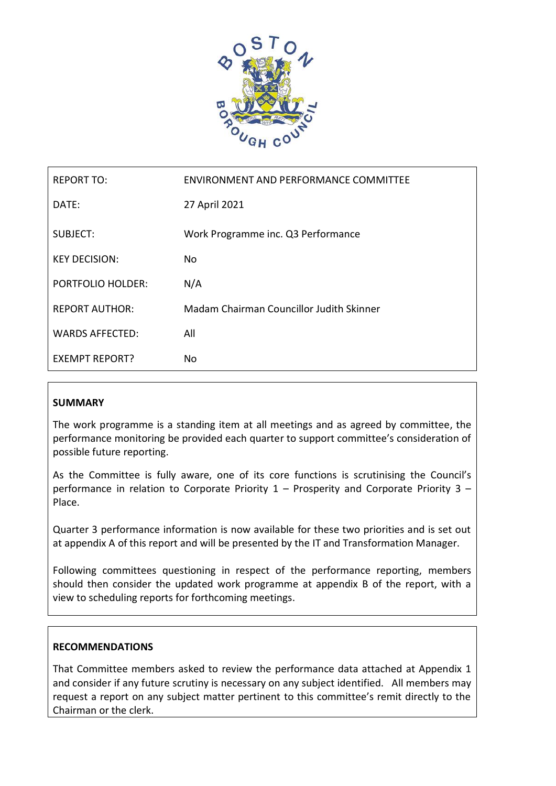

| <b>REPORT TO:</b>        | ENVIRONMENT AND PERFORMANCE COMMITTEE    |
|--------------------------|------------------------------------------|
| DATE:                    | 27 April 2021                            |
| SUBJECT:                 | Work Programme inc. Q3 Performance       |
| <b>KEY DECISION:</b>     | No.                                      |
| <b>PORTFOLIO HOLDER:</b> | N/A                                      |
| <b>REPORT AUTHOR:</b>    | Madam Chairman Councillor Judith Skinner |
| <b>WARDS AFFECTED:</b>   | All                                      |
| <b>EXEMPT REPORT?</b>    | No                                       |

## **SUMMARY**

The work programme is a standing item at all meetings and as agreed by committee, the performance monitoring be provided each quarter to support committee's consideration of possible future reporting.

As the Committee is fully aware, one of its core functions is scrutinising the Council's performance in relation to Corporate Priority  $1 -$  Prosperity and Corporate Priority  $3 -$ Place.

Quarter 3 performance information is now available for these two priorities and is set out at appendix A of this report and will be presented by the IT and Transformation Manager.

Following committees questioning in respect of the performance reporting, members should then consider the updated work programme at appendix B of the report, with a view to scheduling reports for forthcoming meetings.

## **RECOMMENDATIONS**

That Committee members asked to review the performance data attached at Appendix 1 and consider if any future scrutiny is necessary on any subject identified. All members may request a report on any subject matter pertinent to this committee's remit directly to the Chairman or the clerk.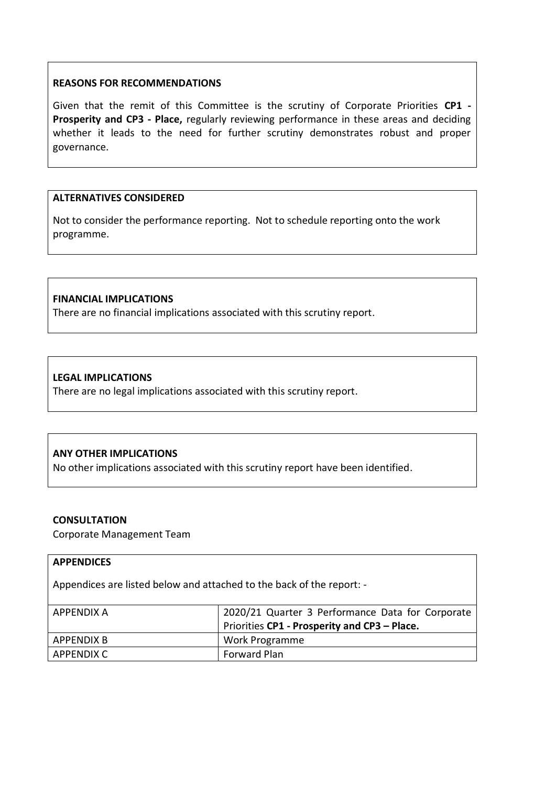#### **REASONS FOR RECOMMENDATIONS**

Given that the remit of this Committee is the scrutiny of Corporate Priorities **CP1 - Prosperity and CP3 - Place,** regularly reviewing performance in these areas and deciding whether it leads to the need for further scrutiny demonstrates robust and proper governance.

#### **ALTERNATIVES CONSIDERED**

Not to consider the performance reporting. Not to schedule reporting onto the work programme.

#### **FINANCIAL IMPLICATIONS**

There are no financial implications associated with this scrutiny report.

## **LEGAL IMPLICATIONS**

There are no legal implications associated with this scrutiny report.

## **ANY OTHER IMPLICATIONS**

No other implications associated with this scrutiny report have been identified.

#### **CONSULTATION**

Corporate Management Team

#### **APPENDICES**

Appendices are listed below and attached to the back of the report: -

| APPENDIX A   | 2020/21 Quarter 3 Performance Data for Corporate |
|--------------|--------------------------------------------------|
|              | Priorities CP1 - Prosperity and CP3 - Place.     |
| APPENDIX B   | Work Programme                                   |
| ' APPENDIX C | <b>Forward Plan</b>                              |